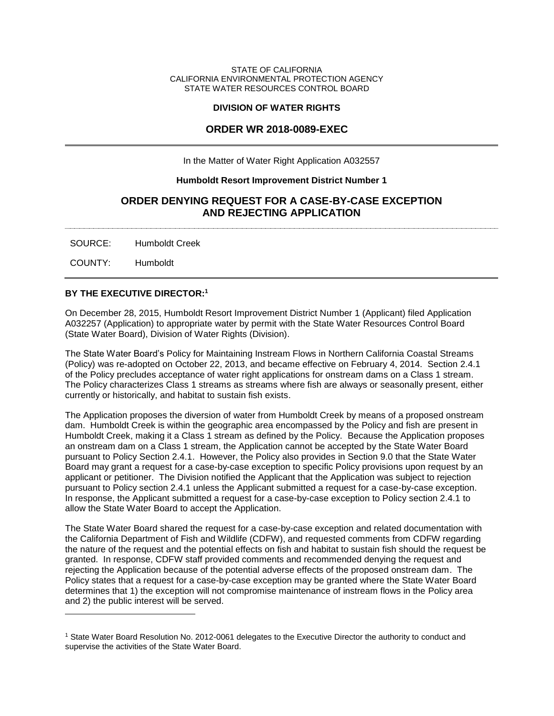#### STATE OF CALIFORNIA CALIFORNIA ENVIRONMENTAL PROTECTION AGENCY STATE WATER RESOURCES CONTROL BOARD

#### **DIVISION OF WATER RIGHTS**

# **ORDER WR 2018-0089-EXEC**

In the Matter of Water Right Application A032557

## **Humboldt Resort Improvement District Number 1**

# **ORDER DENYING REQUEST FOR A CASE-BY-CASE EXCEPTION AND REJECTING APPLICATION**

SOURCE: Humboldt Creek

COUNTY: Humboldt

# **BY THE EXECUTIVE DIRECTOR:<sup>1</sup>**

On December 28, 2015, Humboldt Resort Improvement District Number 1 (Applicant) filed Application A032257 (Application) to appropriate water by permit with the State Water Resources Control Board (State Water Board), Division of Water Rights (Division).

The State Water Board's Policy for Maintaining Instream Flows in Northern California Coastal Streams (Policy) was re-adopted on October 22, 2013, and became effective on February 4, 2014. Section 2.4.1 of the Policy precludes acceptance of water right applications for onstream dams on a Class 1 stream. The Policy characterizes Class 1 streams as streams where fish are always or seasonally present, either currently or historically, and habitat to sustain fish exists.

The Application proposes the diversion of water from Humboldt Creek by means of a proposed onstream dam. Humboldt Creek is within the geographic area encompassed by the Policy and fish are present in Humboldt Creek, making it a Class 1 stream as defined by the Policy. Because the Application proposes an onstream dam on a Class 1 stream, the Application cannot be accepted by the State Water Board pursuant to Policy Section 2.4.1. However, the Policy also provides in Section 9.0 that the State Water Board may grant a request for a case-by-case exception to specific Policy provisions upon request by an applicant or petitioner. The Division notified the Applicant that the Application was subject to rejection pursuant to Policy section 2.4.1 unless the Applicant submitted a request for a case-by-case exception. In response, the Applicant submitted a request for a case-by-case exception to Policy section 2.4.1 to allow the State Water Board to accept the Application.

The State Water Board shared the request for a case-by-case exception and related documentation with the California Department of Fish and Wildlife (CDFW), and requested comments from CDFW regarding the nature of the request and the potential effects on fish and habitat to sustain fish should the request be granted. In response, CDFW staff provided comments and recommended denying the request and rejecting the Application because of the potential adverse effects of the proposed onstream dam. The Policy states that a request for a case-by-case exception may be granted where the State Water Board determines that 1) the exception will not compromise maintenance of instream flows in the Policy area and 2) the public interest will be served.

<sup>1</sup> State Water Board Resolution No. 2012-0061 delegates to the Executive Director the authority to conduct and supervise the activities of the State Water Board.